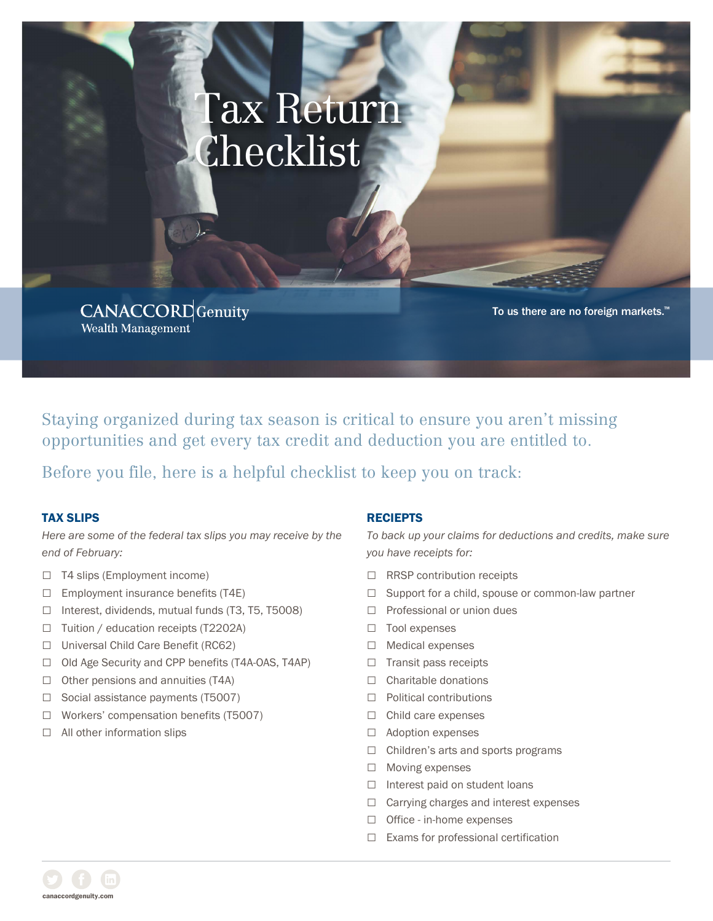# Tax Return Checklist

**CANACCORD** Genuity Wealth Management

To us there are no foreign markets.™

Staying organized during tax season is critical to ensure you aren't missing opportunities and get every tax credit and deduction you are entitled to.

Before you file, here is a helpful checklist to keep you on track:

#### TAX SLIPS

*Here are some of the federal tax slips you may receive by the end of February:*

- □ T4 slips (Employment income)
- □ Employment insurance benefits (T4E)
- □ Interest, dividends, mutual funds (T3, T5, T5008)
- □ Tuition / education receipts (T2202A)
- □ Universal Child Care Benefit (RC62)
- □ Old Age Security and CPP benefits (T4A-OAS, T4AP)
- $\Box$  Other pensions and annuities (T4A)
- □ Social assistance payments (T5007)
- □ Workers' compensation benefits (T5007)
- □ All other information slips

#### RECIEPTS

*To back up your claims for deductions and credits, make sure you have receipts for:*

- □ RRSP contribution receipts
- □ Support for a child, spouse or common-law partner
- □ Professional or union dues
- □ Tool expenses
- □ Medical expenses
- □ Transit pass receipts
- □ Charitable donations
- □ Political contributions
- □ Child care expenses
- □ Adoption expenses
- □ Children's arts and sports programs
- □ Moving expenses
- □ Interest paid on student loans
- □ Carrying charges and interest expenses
- □ Office in-home expenses
- □ Exams for professional certification